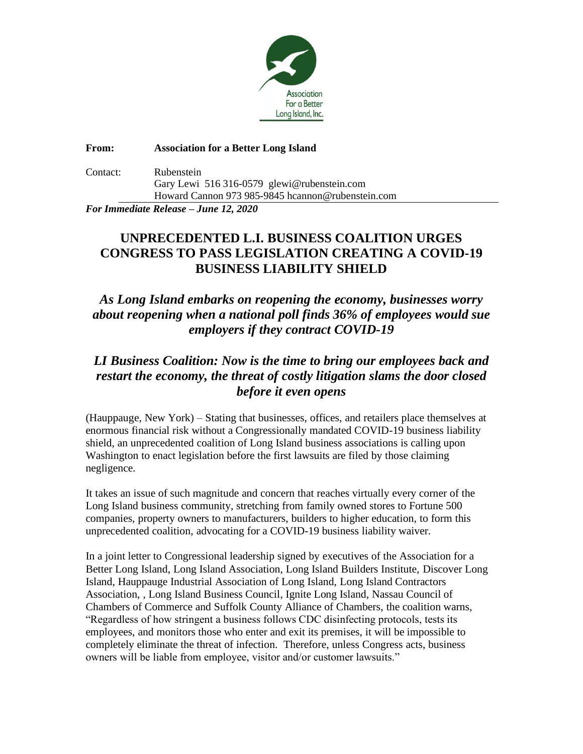

**From: Association for a Better Long Island** Contact: Rubenstein Gary Lewi 516 316-0579 glewi@rubenstein.com Howard Cannon 973 985-9845 hcannon@rubenstein.com

*For Immediate Release – June 12, 2020*

## **UNPRECEDENTED L.I. BUSINESS COALITION URGES CONGRESS TO PASS LEGISLATION CREATING A COVID-19 BUSINESS LIABILITY SHIELD**

## *As Long Island embarks on reopening the economy, businesses worry about reopening when a national poll finds 36% of employees would sue employers if they contract COVID-19*

## *LI Business Coalition: Now is the time to bring our employees back and restart the economy, the threat of costly litigation slams the door closed before it even opens*

(Hauppauge, New York) – Stating that businesses, offices, and retailers place themselves at enormous financial risk without a Congressionally mandated COVID-19 business liability shield, an unprecedented coalition of Long Island business associations is calling upon Washington to enact legislation before the first lawsuits are filed by those claiming negligence.

It takes an issue of such magnitude and concern that reaches virtually every corner of the Long Island business community, stretching from family owned stores to Fortune 500 companies, property owners to manufacturers, builders to higher education, to form this unprecedented coalition, advocating for a COVID-19 business liability waiver.

In a joint letter to Congressional leadership signed by executives of the Association for a Better Long Island, Long Island Association, Long Island Builders Institute, Discover Long Island, Hauppauge Industrial Association of Long Island, Long Island Contractors Association, , Long Island Business Council, Ignite Long Island, Nassau Council of Chambers of Commerce and Suffolk County Alliance of Chambers, the coalition warns, "Regardless of how stringent a business follows CDC disinfecting protocols, tests its employees, and monitors those who enter and exit its premises, it will be impossible to completely eliminate the threat of infection. Therefore, unless Congress acts, business owners will be liable from employee, visitor and/or customer lawsuits."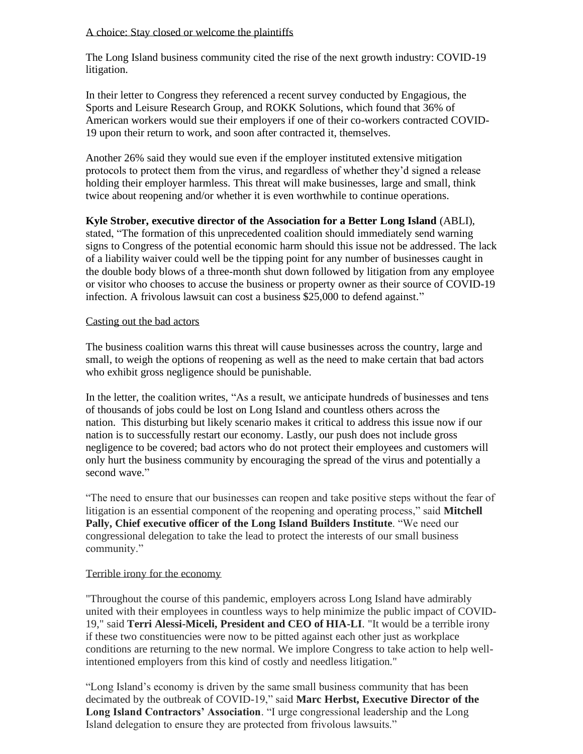#### A choice: Stay closed or welcome the plaintiffs

The Long Island business community cited the rise of the next growth industry: COVID-19 litigation.

In their letter to Congress they referenced a recent survey conducted by Engagious, the Sports and Leisure Research Group, and ROKK Solutions, which found that 36% of American workers would sue their employers if one of their co-workers contracted COVID-19 upon their return to work, and soon after contracted it, themselves.

Another 26% said they would sue even if the employer instituted extensive mitigation protocols to protect them from the virus, and regardless of whether they'd signed a release holding their employer harmless. This threat will make businesses, large and small, think twice about reopening and/or whether it is even worthwhile to continue operations.

# **Kyle Strober, executive director of the Association for a Better Long Island** (ABLI),

stated, "The formation of this unprecedented coalition should immediately send warning signs to Congress of the potential economic harm should this issue not be addressed. The lack of a liability waiver could well be the tipping point for any number of businesses caught in the double body blows of a three-month shut down followed by litigation from any employee or visitor who chooses to accuse the business or property owner as their source of COVID-19 infection. A frivolous lawsuit can cost a business \$25,000 to defend against."

#### Casting out the bad actors

The business coalition warns this threat will cause businesses across the country, large and small, to weigh the options of reopening as well as the need to make certain that bad actors who exhibit gross negligence should be punishable.

In the letter, the coalition writes, "As a result, we anticipate hundreds of businesses and tens of thousands of jobs could be lost on Long Island and countless others across the nation. This disturbing but likely scenario makes it critical to address this issue now if our nation is to successfully restart our economy. Lastly, our push does not include gross negligence to be covered; bad actors who do not protect their employees and customers will only hurt the business community by encouraging the spread of the virus and potentially a second wave."

"The need to ensure that our businesses can reopen and take positive steps without the fear of litigation is an essential component of the reopening and operating process," said **Mitchell Pally, Chief executive officer of the Long Island Builders Institute**. "We need our congressional delegation to take the lead to protect the interests of our small business community."

### Terrible irony for the economy

"Throughout the course of this pandemic, employers across Long Island have admirably united with their employees in countless ways to help minimize the public impact of COVID-19," said **Terri Alessi-Miceli, President and CEO of HIA-LI**. "It would be a terrible irony if these two constituencies were now to be pitted against each other just as workplace conditions are returning to the new normal. We implore Congress to take action to help wellintentioned employers from this kind of costly and needless litigation."

"Long Island's economy is driven by the same small business community that has been decimated by the outbreak of COVID-19," said **Marc Herbst, Executive Director of the Long Island Contractors' Association**. "I urge congressional leadership and the Long Island delegation to ensure they are protected from frivolous lawsuits."